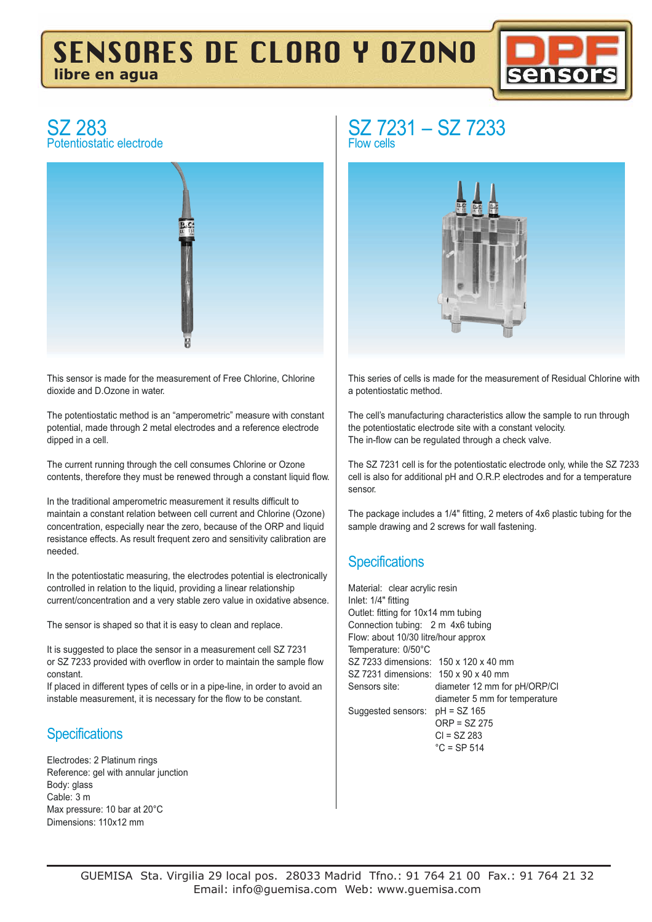# SENSORES DE CLORO Y OZONO **libre en agua**



## SZ 283 Potentiostatic electrode



This sensor is made for the measurement of Free Chlorine, Chlorine dioxide and D.Ozone in water.

The potentiostatic method is an "amperometric" measure with constant potential, made through 2 metal electrodes and a reference electrode dipped in a cell.

The current running through the cell consumes Chlorine or Ozone contents, therefore they must be renewed through a constant liquid flow.

In the traditional amperometric measurement it results difficult to maintain a constant relation between cell current and Chlorine (Ozone) concentration, especially near the zero, because of the ORP and liquid resistance effects. As result frequent zero and sensitivity calibration are needed.

In the potentiostatic measuring, the electrodes potential is electronically controlled in relation to the liquid, providing a linear relationship current/concentration and a very stable zero value in oxidative absence.

The sensor is shaped so that it is easy to clean and replace.

It is suggested to place the sensor in a measurement cell SZ 7231 or SZ 7233 provided with overflow in order to maintain the sample flow constant.

If placed in different types of cells or in a pipe-line, in order to avoid an instable measurement, it is necessary for the flow to be constant.

## **Specifications**

Electrodes: 2 Platinum rings Reference: gel with annular junction Body: glass Cable: 3 m Max pressure: 10 bar at 20°C Dimensions: 110x12 mm

## SZ 7231 – SZ 7233 Flow cells



This series of cells is made for the measurement of Residual Chlorine with a potentiostatic method.

The cell's manufacturing characteristics allow the sample to run through the potentiostatic electrode site with a constant velocity. The in-flow can be regulated through a check valve.

The SZ 7231 cell is for the potentiostatic electrode only, while the SZ 7233 cell is also for additional pH and O.R.P. electrodes and for a temperature sensor.

The package includes a 1/4" fitting, 2 meters of 4x6 plastic tubing for the sample drawing and 2 screws for wall fastening.

## **Specifications**

Material: clear acrylic resin Inlet: 1/4" fitting Outlet: fitting for 10x14 mm tubing Connection tubing: 2 m 4x6 tubing Flow: about 10/30 litre/hour approx Temperature: 0/50°C SZ 7233 dimensions: 150 x 120 x 40 mm SZ 7231 dimensions: 150 x 90 x 40 mm Sensors site: diameter 12 mm for pH/ORP/Cl diameter 5 mm for temperature Suggested sensors: pH = SZ 165 ORP = SZ 275  $Cl = SZ 283$  $°C = SP 514$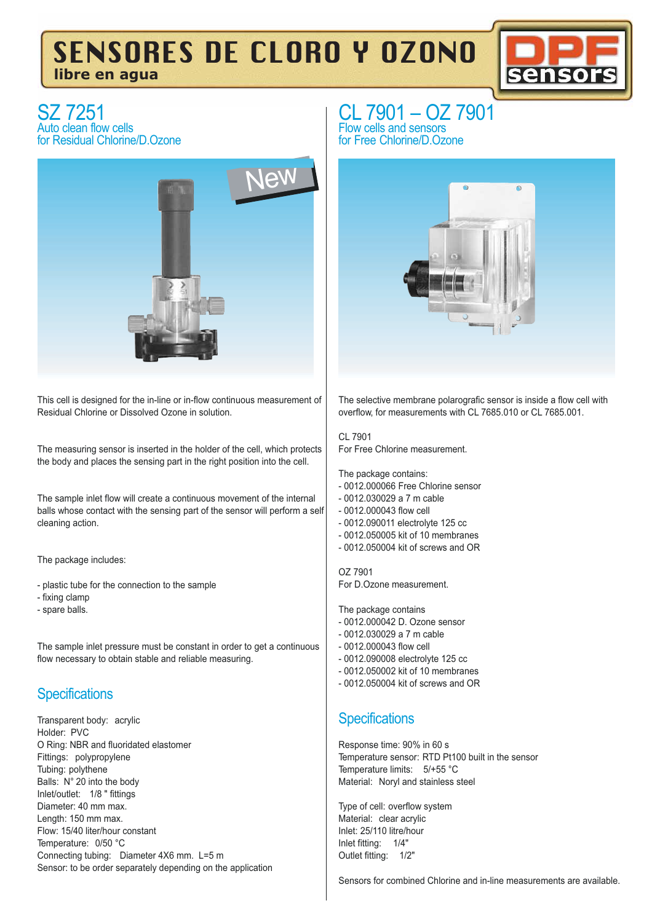# SENSORES DE CLORO Y OZONO **libre en agua**



### SZ 7251 Auto clean flow cells for Residual Chlorine/D.Ozone



This cell is designed for the in-line or in-flow continuous measurement of Residual Chlorine or Dissolved Ozone in solution.

The measuring sensor is inserted in the holder of the cell, which protects the body and places the sensing part in the right position into the cell.

The sample inlet flow will create a continuous movement of the internal balls whose contact with the sensing part of the sensor will perform a self cleaning action.

The package includes:

- plastic tube for the connection to the sample
- fixing clamp
- spare balls.

The sample inlet pressure must be constant in order to get a continuous flow necessary to obtain stable and reliable measuring.

### **Specifications**

Transparent body: acrylic Holder: PVC O Ring: NBR and fluoridated elastomer Fittings: polypropylene Tubing: polythene Balls: N° 20 into the body Inlet/outlet: 1/8 " fittings Diameter: 40 mm max. Length: 150 mm max. Flow: 15/40 liter/hour constant Temperature: 0/50 °C Connecting tubing: Diameter 4X6 mm. L=5 m Sensor: to be order separately depending on the application

### CL 7901 – OZ 7901 Flow cells and sensors for Free Chlorine/D.Ozone



The selective membrane polarografic sensor is inside a flow cell with overflow, for measurements with CL 7685.010 or CL 7685.001.

CL 7901 For Free Chlorine measurement.

The package contains:

- 0012.000066 Free Chlorine sensor
- 0012.030029a7mcable
- 0012.000043 flow cell
- 0012.090011 electrolyte 125 cc
- 0012.050005 kit of 10 membranes
- 0012.050004 kit of screws and OR

OZ 7901 For D.Ozone measurement.

The package contains

- 0012.000042 D. Ozone sensor
- 0012.030029a7mcable
- 0012.000043 flow cell
- 0012.090008 electrolyte 125 cc
- 0012.050002 kit of 10 membranes
- 0012.050004 kit of screws and OR

### **Specifications**

Response time: 90% in 60 s Temperature sensor: RTD Pt100 built in the sensor Temperature limits: 5/+55 °C Material: Noryl and stainless steel

Type of cell: overflow system Material: clear acrylic Inlet: 25/110 litre/hour Inlet fitting: 1/4" Outlet fitting: 1/2"

Sensors for combined Chlorine and in-line measurements are available.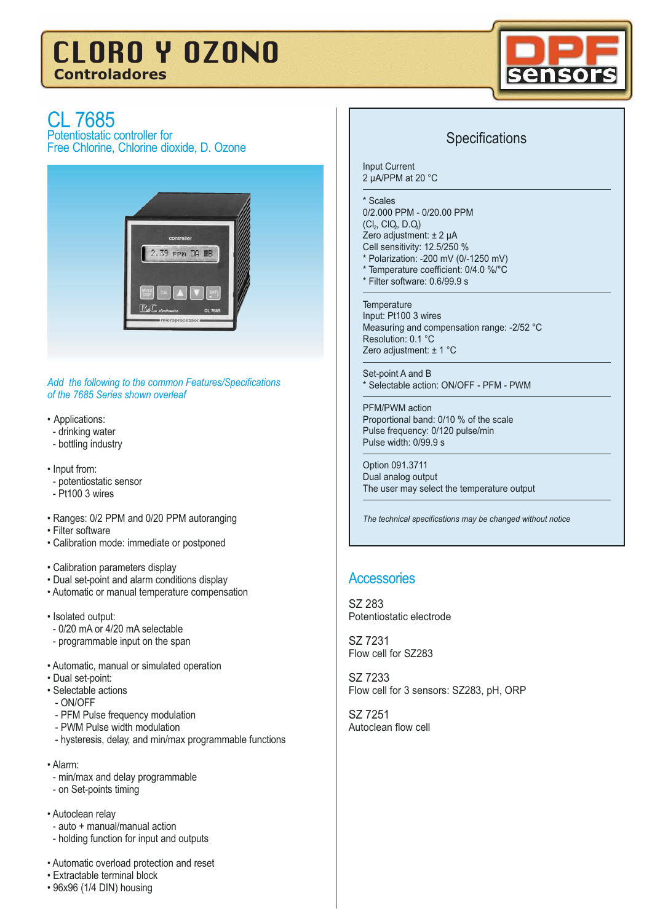

## CL 7685

Potentiostatic controller for Free Chlorine, Chlorine dioxide, D. Ozone



*Add the following to the common Features/Specifications of the 7685 Series shown overleaf*

- Applications:
- drinking water
- bottling industry
- Input from:
- potentiostatic sensor
- Pt100 3 wires
- Ranges: 0/2 PPM and 0/20 PPM autoranging
- Filter software
- Calibration mode: immediate or postponed
- Calibration parameters display
- Dual set-point and alarm conditions display
- Automatic or manual temperature compensation
- Isolated output:
- 0/20 mA or 4/20 mA selectable
- programmable input on the span
- Automatic, manual or simulated operation
- Dual set-point:
- Selectable actions
	- ON/OFF
	- PFM Pulse frequency modulation
- PWM Pulse width modulation
- hysteresis, delay, and min/max programmable functions
- Alarm:
- min/max and delay programmable
- on Set-points timing
- Autoclean relay
- auto + manual/manual action
- holding function for input and outputs
- Automatic overload protection and reset
- Extractable terminal block
- 96x96 (1/4 DIN) housing

### **Specifications**

Input Current 2 µA/PPM at 20 °C

#### \* Scales

0/2.000 PPM - 0/20.00 PPM  $(Cl<sub>2</sub>, Cl<sub>2</sub>, D<sub>2</sub>)$ Zero adjustment: ± 2 µA Cell sensitivity: 12.5/250 % Polarization: -200 mV (0/-1250 mV) \* Temperature coefficient: 0/4.0 %/°C

- \* Filter software: 0.6/99.9 s
- 

**Temperature** Input: Pt100 3 wires Measuring and compensation range: -2/52 °C Resolution: 0.1 °C Zero adjustment: ± 1 °C

Set-point A and B \* Selectable action: ON/OFF - PFM - PWM

PFM/PWM action Proportional band: 0/10 % of the scale Pulse frequency: 0/120 pulse/min Pulse width: 0/99.9 s

Option 091.3711 Dual analog output The user may select the temperature output

*The technical specifications may be changed without notice*

### **Accessories**

SZ 283 Potentiostatic electrode

SZ 7231 Flow cell for SZ283

SZ 7233 Flow cell for 3 sensors: SZ283, pH, ORP

SZ 7251 Autoclean flow cell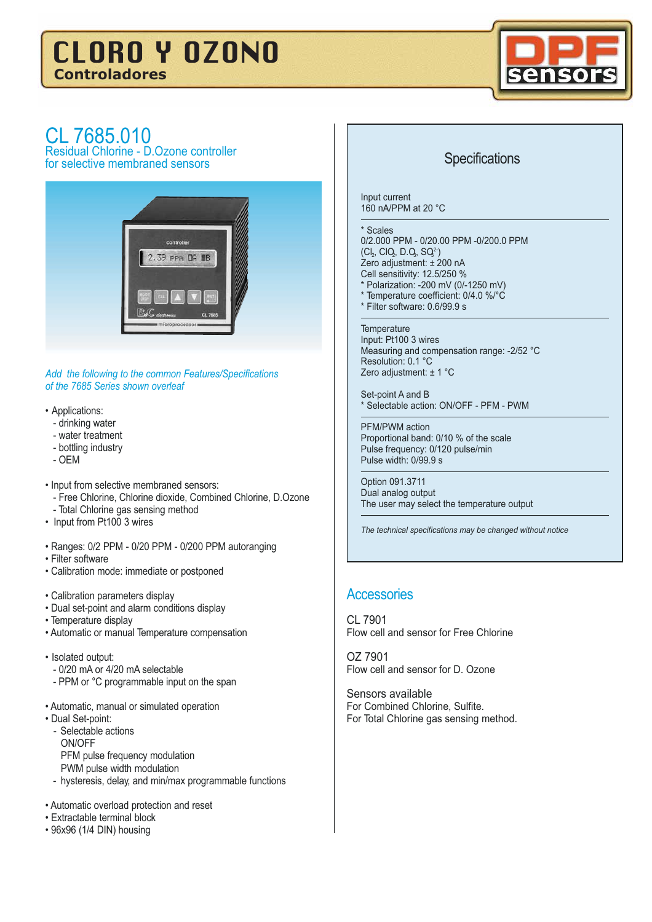

# CL 7685.010

Residual Chlorine - D.Ozone controller for selective membraned sensors



*Add the following to the common Features/Specifications of the 7685 Series shown overleaf*

- Applications:
	- drinking water
	- water treatment
	- bottling industry
	- OEM
- Input from selective membraned sensors: - Free Chlorine, Chlorine dioxide, Combined Chlorine, D.Ozone
	- Total Chlorine gas sensing method
- Input from Pt100 3 wires
- Ranges: 0/2 PPM 0/20 PPM 0/200 PPM autoranging
- Filter software
- Calibration mode: immediate or postponed
- Calibration parameters display
- Dual set-point and alarm conditions display
- Temperature display
- Automatic or manual Temperature compensation
- Isolated output:
	- 0/20 mA or 4/20 mA selectable
	- PPM or °C programmable input on the span
- Automatic, manual or simulated operation
- Dual Set-point:
	- Selectable actions ON/OFF PFM pulse frequency modulation PWM pulse width modulation
	- hysteresis, delay, and min/max programmable functions
- Automatic overload protection and reset
- Extractable terminal block
- 96x96 (1/4 DIN) housing

## **Specifications**

Input current 160 nA/PPM at 20 °C

#### \* Scales

0/2.000 PPM - 0/20.00 PPM -0/200.0 PPM  $(\mathsf{Cl}_2\text{, ClQ}, \, \mathsf{D}.\mathsf{Q}, \, \mathsf{SQ}^2)$ Zero adjustment: ± 200 nA Cell sensitivity: 12.5/250 % \* Polarization: -200 mV (0/-1250 mV) \* Temperature coefficient: 0/4.0 %/°C

\* Filter software: 0.6/99.9 s

#### **Temperature**

Input: Pt100 3 wires Measuring and compensation range: -2/52 °C Resolution: 0.1 °C Zero adjustment: ± 1 °C

Set-point A and B \* Selectable action: ON/OFF - PFM - PWM

PFM/PWM action Proportional band: 0/10 % of the scale Pulse frequency: 0/120 pulse/min Pulse width: 0/99.9 s

Option 091.3711 Dual analog output The user may select the temperature output

*The technical specifications may be changed without notice*

### **Accessories**

CL 7901 Flow cell and sensor for Free Chlorine

OZ 7901 Flow cell and sensor for D. Ozone

Sensors available For Combined Chlorine, Sulfite. For Total Chlorine gas sensing method.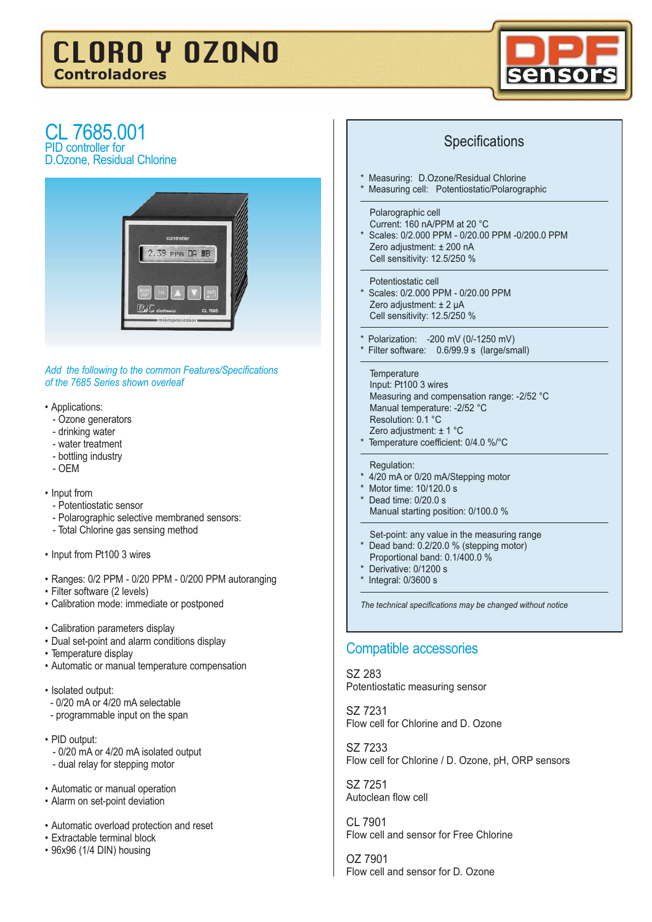

### CL 7685.001 PID controller for D.Ozone, Residual Chlorine



*Add the following to the common Features/Specifications of the 7685 Series shown overleaf*

- Applications:
	- Ozone generators
	- drinking water
	- water treatment
	- bottling industry
	- OEM
- Input from
	- Potentiostatic sensor
	- Polarographic selective membraned sensors:
	- Total Chlorine gas sensing method
- Input from Pt100 3 wires
- Ranges: 0/2 PPM 0/20 PPM 0/200 PPM autoranging
- Filter software (2 levels)
- Calibration mode: immediate or postponed
- Calibration parameters display
- Dual set-point and alarm conditions display
- Temperature display
- Automatic or manual temperature compensation
- Isolated output:
- 0/20 mA or 4/20 mA selectable
- programmable input on the span
- PID output:
	- 0/20 mA or 4/20 mA isolated output
- dual relay for stepping motor
- Automatic or manual operation
- Alarm on set-point deviation
- Automatic overload protection and reset
- Extractable terminal block
- 96x96 (1/4 DIN) housing
- Compatible accessories SZ 283 Potentiostatic measuring sensor SZ 7231 Flow cell for Chlorine and D. Ozone **Specifications** Measuring: D.Ozone/Residual Chlorine Measuring cell: Potentiostatic/Polarographic Polarographic cell Current: 160 nA/PPM at 20 °C Scales: 0/2.000 PPM - 0/20.00 PPM -0/200.0 PPM Zero adjustment: ± 200 nA Cell sensitivity: 12.5/250 % Potentiostatic cell Scales: 0/2.000 PPM - 0/20.00 PPM Zero adjustment: ± 2 µA Cell sensitivity: 12.5/250 % Polarization: - 200 mV (0/-1250 mV) Filter software: 0.6/99.9 s (large/small) **Temperature** Input: Pt100 3 wires Measuring and compensation range: -2/52 °C Manual temperature: -2/52 °C Resolution: 0.1 °C Zero adjustment: ± 1 °C Temperature coefficient: 0/4.0 %/°C Regulation: 4/20 mA or 0/20 mA/Stepping motor Motor time: 10/120.0 s Dead time: 0/20.0 s Manual starting position: 0/100.0 % Set-point: any value in the measuring range Dead band: 0.2/20.0 % (stepping motor) Proportional band: 0.1/400.0 % Derivative: 0/1200 s Integral:  $0/3600 s$ *The technical specifications may be changed without notice*
- SZ 7233 Flow cell for Chlorine / D. Ozone, pH, ORP sensors
- SZ 7251 Autoclean flow cell
- CL 7901 Flow cell and sensor for Free Chlorine
- OZ 7901 Flow cell and sensor for D. Ozone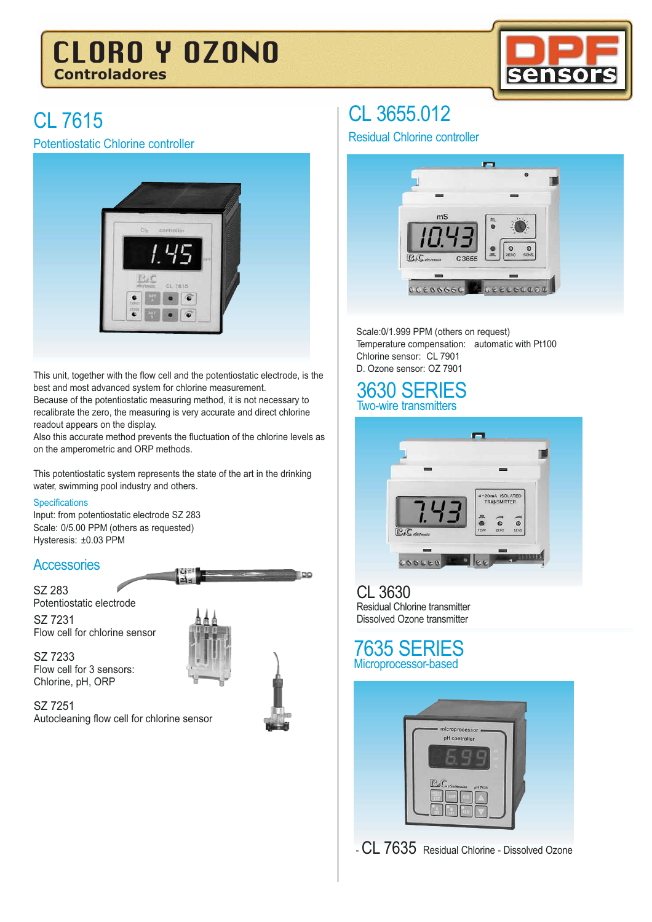

# CL 7615

Potentiostatic Chlorine controller



This unit, together with the flow cell and the potentiostatic electrode, is the best and most advanced system for chlorine measurement.

Because of the potentiostatic measuring method, it is not necessary to recalibrate the zero, the measuring is very accurate and direct chlorine readout appears on the display.

Also this accurate method prevents the fluctuation of the chlorine levels as on the amperometric and ORP methods.

This potentiostatic system represents the state of the art in the drinking water, swimming pool industry and others.

#### **Specifications**

Input: from potentiostatic electrode SZ 283 Scale: 0/5.00 PPM (others as requested) Hysteresis: ±0.03 PPM

### **Accessories**

SZ 283 Potentiostatic electrode

SZ 7233

SZ 7231 Flow cell for chlorine sensor



Flow cell for 3 sensors: Chlorine, pH, ORP

SZ 7251 Autocleaning flow cell for chlorine sensor

# CL 3655.012

Residual Chlorine controller



Scale:0/1.999 PPM (others on request) Temperature compensation: automatic with Pt100 Chlorine sensor: CL 7901 D. Ozone sensor: OZ 7901

## 3630 SERIES Two-wire transmitters



Residual Chlorine transmitter Dissolved Ozone transmitter CL 3630

### 7635 SERIES Microprocessor-based